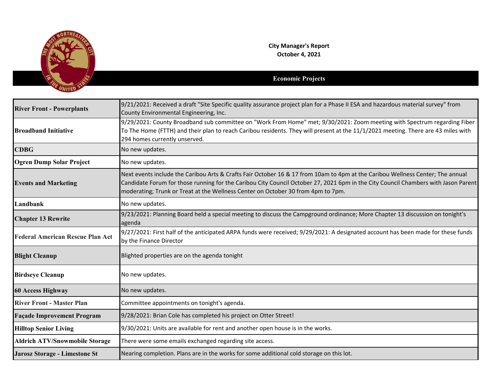

**City Manager's Report October 4, 2021**

## **Economic Projects**

| <b>River Front - Powerplants</b>        | 9/21/2021: Received a draft "Site Specific quality assurance project plan for a Phase II ESA and hazardous material survey" from<br>County Environmental Engineering, Inc.                                                                                                                                                                               |
|-----------------------------------------|----------------------------------------------------------------------------------------------------------------------------------------------------------------------------------------------------------------------------------------------------------------------------------------------------------------------------------------------------------|
| <b>Broadband Initiative</b>             | 9/29/2021: County Broadband sub committee on "Work From Home" met; 9/30/2021: Zoom meeting with Spectrum regarding Fiber<br>To The Home (FTTH) and their plan to reach Caribou residents. They will present at the 11/1/2021 meeting. There are 43 miles with<br>294 homes currently unserved.                                                           |
| <b>CDBG</b>                             | No new updates.                                                                                                                                                                                                                                                                                                                                          |
| <b>Ogren Dump Solar Project</b>         | No new updates.                                                                                                                                                                                                                                                                                                                                          |
| <b>Events and Marketing</b>             | Next events include the Caribou Arts & Crafts Fair October 16 & 17 from 10am to 4pm at the Caribou Wellness Center; The annual<br>Candidate Forum for those running for the Caribou City Council October 27, 2021 6pm in the City Council Chambers with Jason Parent<br>moderating; Trunk or Treat at the Wellness Center on October 30 from 4pm to 7pm. |
| Landbank                                | No new updates.                                                                                                                                                                                                                                                                                                                                          |
| <b>Chapter 13 Rewrite</b>               | 9/23/2021: Planning Board held a special meeting to discuss the Campground ordinance; More Chapter 13 discussion on tonight's<br>agenda                                                                                                                                                                                                                  |
| <b>Federal American Rescue Plan Act</b> | 9/27/2021: First half of the anticipated ARPA funds were received; 9/29/2021: A designated account has been made for these funds<br>by the Finance Director                                                                                                                                                                                              |
| <b>Blight Cleanup</b>                   | Blighted properties are on the agenda tonight                                                                                                                                                                                                                                                                                                            |
| <b>Birdseye Cleanup</b>                 | No new updates.                                                                                                                                                                                                                                                                                                                                          |
| <b>60 Access Highway</b>                | No new updates.                                                                                                                                                                                                                                                                                                                                          |
| <b>River Front - Master Plan</b>        | Committee appointments on tonight's agenda.                                                                                                                                                                                                                                                                                                              |
| <b>Façade Improvement Program</b>       | 9/28/2021: Brian Cole has completed his project on Otter Street!                                                                                                                                                                                                                                                                                         |
| <b>Hilltop Senior Living</b>            | 9/30/2021: Units are available for rent and another open house is in the works.                                                                                                                                                                                                                                                                          |
| <b>Aldrich ATV/Snowmobile Storage</b>   | There were some emails exchanged regarding site access.                                                                                                                                                                                                                                                                                                  |
| <b>Jarosz Storage - Limestone St</b>    | Nearing completion. Plans are in the works for some additional cold storage on this lot.                                                                                                                                                                                                                                                                 |